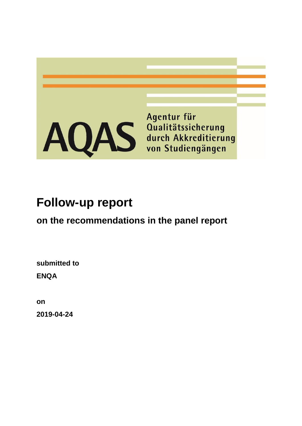

# **Follow-up report**

# **on the recommendations in the panel report**

**submitted to ENQA** 

**on 2019-04-24**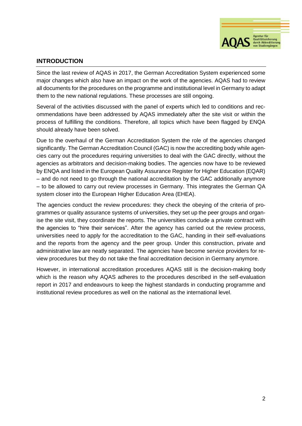

# **INTRODUCTION**

Since the last review of AQAS in 2017, the German Accreditation System experienced some major changes which also have an impact on the work of the agencies. AQAS had to review all documents for the procedures on the programme and institutional level in Germany to adapt them to the new national regulations. These processes are still ongoing.

Several of the activities discussed with the panel of experts which led to conditions and recommendations have been addressed by AQAS immediately after the site visit or within the process of fulfilling the conditions. Therefore, all topics which have been flagged by ENQA should already have been solved.

Due to the overhaul of the German Accreditation System the role of the agencies changed significantly. The German Accreditation Council (GAC) is now the accrediting body while agencies carry out the procedures requiring universities to deal with the GAC directly, without the agencies as arbitrators and decision-making bodies. The agencies now have to be reviewed by ENQA and listed in the European Quality Assurance Register for Higher Education (EQAR) – and do not need to go through the national accreditation by the GAC additionally anymore – to be allowed to carry out review processes in Germany. This integrates the German QA system closer into the European Higher Education Area (EHEA).

The agencies conduct the review procedures: they check the obeying of the criteria of programmes or quality assurance systems of universities, they set up the peer groups and organise the site visit, they coordinate the reports. The universities conclude a private contract with the agencies to "hire their services". After the agency has carried out the review process, universities need to apply for the accreditation to the GAC, handing in their self-evaluations and the reports from the agency and the peer group. Under this construction, private and administrative law are neatly separated. The agencies have become service providers for review procedures but they do not take the final accreditation decision in Germany anymore.

However, in international accreditation procedures AQAS still is the decision-making body which is the reason why AQAS adheres to the procedures described in the self-evaluation report in 2017 and endeavours to keep the highest standards in conducting programme and institutional review procedures as well on the national as the international level.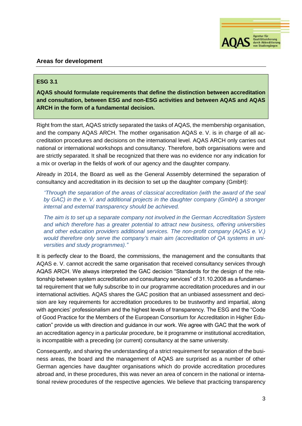

# **Areas for development**

# **ESG 3.1**

**AQAS should formulate requirements that define the distinction between accreditation and consultation, between ESG and non-ESG activities and between AQAS and AQAS ARCH in the form of a fundamental decision.**

Right from the start, AQAS strictly separated the tasks of AQAS, the membership organisation, and the company AQAS ARCH. The mother organisation AQAS e. V. is in charge of all accreditation procedures and decisions on the international level. AQAS ARCH only carries out national or international workshops and consultancy. Therefore, both organisations were and are strictly separated. It shall be recognized that there was no evidence nor any indication for a mix or overlap in the fields of work of our agency and the daughter company.

Already in 2014, the Board as well as the General Assembly determined the separation of consultancy and accreditation in its decision to set up the daughter company (GmbH):

*"Through the separation of the areas of classical accreditation (with the award of the seal by GAC) in the e. V. and additional projects in the daughter company (GmbH) a stronger internal and external transparency should be achieved.*

*The aim is to set up a separate company not involved in the German Accreditation System and which therefore has a greater potential to attract new business, offering universities and other education providers additional services. The non-profit company (AQAS e. V.) would therefore only serve the company's main aim (accreditation of QA systems in universities and study programmes)."*

It is perfectly clear to the Board, the commissions, the management and the consultants that AQAS e. V. cannot accredit the same organisation that received consultancy services through AQAS ARCH. We always interpreted the GAC decision "Standards for the design of the relationship between system accreditation and consultancy services" of 31.10.2008 as a fundamental requirement that we fully subscribe to in our programme accreditation procedures and in our international activities. AQAS shares the GAC position that an unbiased assessment and decision are key requirements for accreditation procedures to be trustworthy and impartial, along with agencies' professionalism and the highest levels of transparency. The ESG and the "Code of Good Practice for the Members of the European Consortium for Accreditation in Higher Education" provide us with direction and guidance in our work. We agree with GAC that the work of an accreditation agency in a particular procedure, be it programme or institutional accreditation, is incompatible with a preceding (or current) consultancy at the same university.

Consequently, and sharing the understanding of a strict requirement for separation of the business areas, the board and the management of AQAS are surprised as a number of other German agencies have daughter organisations which do provide accreditation procedures abroad and, in these procedures, this was never an area of concern in the national or international review procedures of the respective agencies. We believe that practicing transparency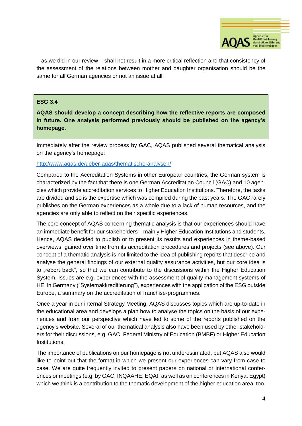

– as we did in our review – shall not result in a more critical reflection and that consistency of the assessment of the relations between mother and daughter organisation should be the same for all German agencies or not an issue at all.

#### **ESG 3.4**

**AQAS should develop a concept describing how the reflective reports are composed in future. One analysis performed previously should be published on the agency's homepage.**

Immediately after the review process by GAC, AQAS published several thematical analysis on the agency's homepage:

#### <http://www.aqas.de/ueber-aqas/thematische-analysen/>

Compared to the Accreditation Systems in other European countries, the German system is characterized by the fact that there is one German Accreditation Council (GAC) and 10 agencies which provide accreditation services to Higher Education Institutions. Therefore, the tasks are divided and so is the expertise which was compiled during the past years. The GAC rarely publishes on the German experiences as a whole due to a lack of human resources, and the agencies are only able to reflect on their specific experiences.

The core concept of AQAS concerning thematic analysis is that our experiences should have an immediate benefit for our stakeholders – mainly Higher Education Institutions and students. Hence, AQAS decided to publish or to present its results and experiences in theme-based overviews, gained over time from its accreditation procedures and projects (see above). Our concept of a thematic analysis is not limited to the idea of publishing reports that describe and analyse the general findings of our external quality assurance activities, but our core idea is to "report back", so that we can contribute to the discussions within the Higher Education System. Issues are e.g. experiences with the assessment of quality management systems of HEI in Germany ("Systemakkreditierung"), experiences with the application of the ESG outside Europe, a summary on the accreditation of franchise-programmes.

Once a year in our internal Strategy Meeting, AQAS discusses topics which are up-to-date in the educational area and develops a plan how to analyse the topics on the basis of our experiences and from our perspective which have led to some of the reports published on the agency's website. Several of our thematical analysis also have been used by other stakeholders for their discussions, e.g. GAC, Federal Ministry of Education (BMBF) or Higher Education Institutions.

The importance of publications on our homepage is not underestimated, but AQAS also would like to point out that the format in which we present our experiences can vary from case to case. We are quite frequently invited to present papers on national or international conferences or meetings (e.g. by GAC, INQAAHE, EQAF as well as on conferences in Kenya, Egypt) which we think is a contribution to the thematic development of the higher education area, too.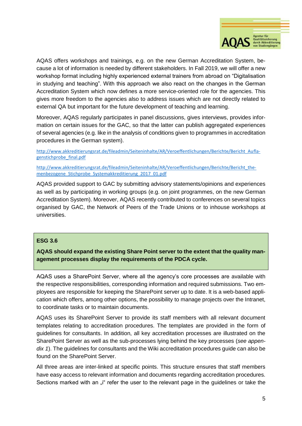

AQAS offers workshops and trainings, e.g. on the new German Accreditation System, because a lot of information is needed by different stakeholders. In Fall 2019, we will offer a new workshop format including highly experienced external trainers from abroad on "Digitalisation in studying and teaching". With this approach we also react on the changes in the German Accreditation System which now defines a more service-oriented role for the agencies. This gives more freedom to the agencies also to address issues which are not directly related to external QA but important for the future development of teaching and learning.

Moreover, AQAS regularly participates in panel discussions, gives interviews, provides information on certain issues for the GAC, so that the latter can publish aggregated experiences of several agencies (e.g. like in the analysis of conditions given to programmes in accreditation procedures in the German system).

[http://www.akkreditierungsrat.de/fileadmin/Seiteninhalte/AR/Veroeffentlichungen/Berichte/Bericht\\_Aufla](http://www.akkreditierungsrat.de/fileadmin/Seiteninhalte/AR/Veroeffentlichungen/Berichte/Bericht_Auflagenstichprobe_final.pdf)[genstichprobe\\_final.pdf](http://www.akkreditierungsrat.de/fileadmin/Seiteninhalte/AR/Veroeffentlichungen/Berichte/Bericht_Auflagenstichprobe_final.pdf)

[http://www.akkreditierungsrat.de/fileadmin/Seiteninhalte/AR/Veroeffentlichungen/Berichte/Bericht\\_the](http://www.akkreditierungsrat.de/fileadmin/Seiteninhalte/AR/Veroeffentlichungen/Berichte/Bericht_themenbezogene_Stichprobe_Systemakkreditierung_2017_01.pdf)[menbezogene\\_Stichprobe\\_Systemakkreditierung\\_2017\\_01.pdf](http://www.akkreditierungsrat.de/fileadmin/Seiteninhalte/AR/Veroeffentlichungen/Berichte/Bericht_themenbezogene_Stichprobe_Systemakkreditierung_2017_01.pdf)

AQAS provided support to GAC by submitting advisory statements/opinions and experiences as well as by participating in working groups (e.g. on joint programmes, on the new German Accreditation System). Moreover, AQAS recently contributed to conferences on several topics organised by GAC, the Network of Peers of the Trade Unions or to inhouse workshops at universities.

# **ESG 3.6**

**AQAS should expand the existing Share Point server to the extent that the quality management processes display the requirements of the PDCA cycle.**

AQAS uses a SharePoint Server, where all the agency's core processes are available with the respective responsibilities, corresponding information and required submissions. Two employees are responsible for keeping the SharePoint server up to date. It is a web-based application which offers, among other options, the possibility to manage projects over the Intranet, to coordinate tasks or to maintain documents.

AQAS uses its SharePoint Server to provide its staff members with all relevant document templates relating to accreditation procedures. The templates are provided in the form of guidelines for consultants. In addition, all key accreditation processes are illustrated on the SharePoint Server as well as the sub-processes lying behind the key processes (*see appendix 1*). The guidelines for consultants and the Wiki accreditation procedures guide can also be found on the SharePoint Server.

All three areas are inter-linked at specific points. This structure ensures that staff members have easy access to relevant information and documents regarding accreditation procedures. Sections marked with an "" refer the user to the relevant page in the guidelines or take the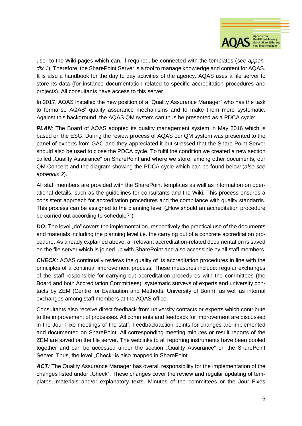

user to the Wiki pages which can, if required, be connected with the templates (*see appendix 1*). Therefore, the SharePoint Server is a tool to manage knowledge and content for AQAS. It is also a handbook for the day to day activities of the agency. AQAS uses a file server to store its data (for instance documentation related to specific accreditation procedures and projects). All consultants have access to this server.

In 2017, AQAS installed the new position of a "Quality Assurance Manager" who has the task to formalise AQAS' quality assurance mechanisms and to make them more systematic. Against this background, the AQAS QM system can thus be presented as a PDCA cycle:

**PLAN**: The Board of AQAS adopted its quality management system in May 2016 which is based on the ESG. During the review process of AQAS our QM system was presented to the panel of experts from GAC and they appreciated it but stressed that the Share Point Server should also be used to close the PDCA cycle. To fulfil the condition we created a new section called "Quality Assurance" on SharePoint and where we store, among other documents, our QM Concept and the diagram showing the PDCA cycle which can be found below (*also see appendix 2*).

All staff members are provided with the SharePoint templates as well as information on operational details, such as the guidelines for consultants and the Wiki. This process ensures a consistent approach for accreditation procedures and the compliance with quality standards. This process can be assigned to the planning level ("How should an accreditation procedure be carried out according to schedule?").

*DO:* The level "do" covers the implementation, respectively the practical use of the documents and materials including the planning level i.e. the carrying out of a concrete accreditation procedure. As already explained above, all relevant accreditation-related documentation is saved on the file server which is joined up with SharePoint and also accessible by all staff members.

*CHECK:* AQAS continually reviews the quality of its accreditation procedures in line with the principles of a continual improvement process. These measures include: regular exchanges of the staff responsible for carrying out accreditation procedures with the committees (the Board and both Accreditation Committees); systematic surveys of experts and university contacts by ZEM (Centre for Evaluation and Methods, University of Bonn); as well as internal exchanges among staff members at the AQAS office.

Consultants also receive direct feedback from university contacts or experts which contribute to the improvement of processes. All comments and feedback for improvement are discussed in the Jour Fixe meetings of the staff. Feedback/action points for changes are implemented and documented on SharePoint. All corresponding meeting minutes or result reports of the ZEM are saved on the file server. The weblinks to all reporting instruments have been pooled together and can be accessed under the section "Quality Assurance" on the SharePoint Server. Thus, the level "Check" is also mapped in SharePoint.

ACT: The Quality Assurance Manager has overall responsibility for the implementation of the changes listed under "Check". These changes cover the review and regular updating of templates, materials and/or explanatory texts. Minutes of the committees or the Jour Fixes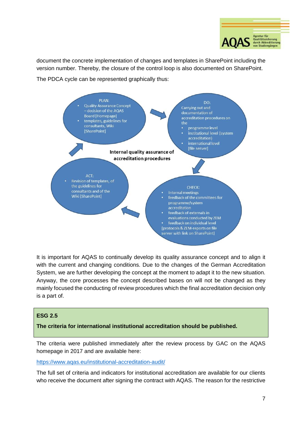

document the concrete implementation of changes and templates in SharePoint including the version number. Thereby, the closure of the control loop is also documented on SharePoint.

The PDCA cycle can be represented graphically thus:



It is important for AQAS to continually develop its quality assurance concept and to align it with the current and changing conditions. Due to the changes of the German Accreditation System, we are further developing the concept at the moment to adapt it to the new situation. Anyway, the core processes the concept described bases on will not be changed as they mainly focused the conducting of review procedures which the final accreditation decision only is a part of.

# **ESG 2.5**

**The criteria for international institutional accreditation should be published.**

The criteria were published immediately after the review process by GAC on the AQAS homepage in 2017 and are available here:

<https://www.aqas.eu/institutional-accreditation-audit/>

The full set of criteria and indicators for institutional accreditation are available for our clients who receive the document after signing the contract with AQAS. The reason for the restrictive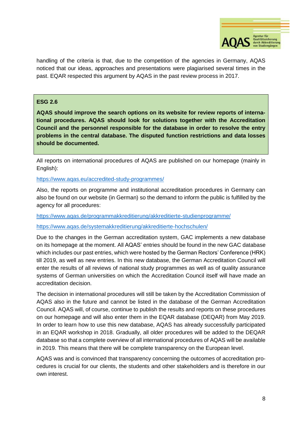

handling of the criteria is that, due to the competition of the agencies in Germany, AQAS noticed that our ideas, approaches and presentations were plagiarised several times in the past. EQAR respected this argument by AQAS in the past review process in 2017.

### **ESG 2.6**

**AQAS should improve the search options on its website for review reports of international procedures. AQAS should look for solutions together with the Accreditation Council and the personnel responsible for the database in order to resolve the entry problems in the central database. The disputed function restrictions and data losses should be documented.**

All reports on international procedures of AQAS are published on our homepage (mainly in English):

<https://www.aqas.eu/accredited-study-programmes/>

Also, the reports on programme and institutional accreditation procedures in Germany can also be found on our website (in German) so the demand to inform the public is fulfilled by the agency for all procedures:

<https://www.aqas.de/programmakkreditierung/akkreditierte-studienprogramme/>

<https://www.aqas.de/systemakkreditierung/akkreditierte-hochschulen/>

Due to the changes in the German accreditation system, GAC implements a new database on its homepage at the moment. All AQAS' entries should be found in the new GAC database which includes our past entries, which were hosted by the German Rectors' Conference (HRK) till 2019, as well as new entries. In this new database, the German Accreditation Council will enter the results of all reviews of national study programmes as well as of quality assurance systems of German universities on which the Accreditation Council itself will have made an accreditation decision.

The decision in international procedures will still be taken by the Accreditation Commission of AQAS also in the future and cannot be listed in the database of the German Accreditation Council. AQAS will, of course, continue to publish the results and reports on these procedures on our homepage and will also enter them in the EQAR database (DEQAR) from May 2019. In order to learn how to use this new database, AQAS has already successfully participated in an EQAR workshop in 2018. Gradually, all older procedures will be added to the DEQAR database so that a complete overview of all international procedures of AQAS will be available in 2019. This means that there will be complete transparency on the European level.

AQAS was and is convinced that transparency concerning the outcomes of accreditation procedures is crucial for our clients, the students and other stakeholders and is therefore in our own interest.